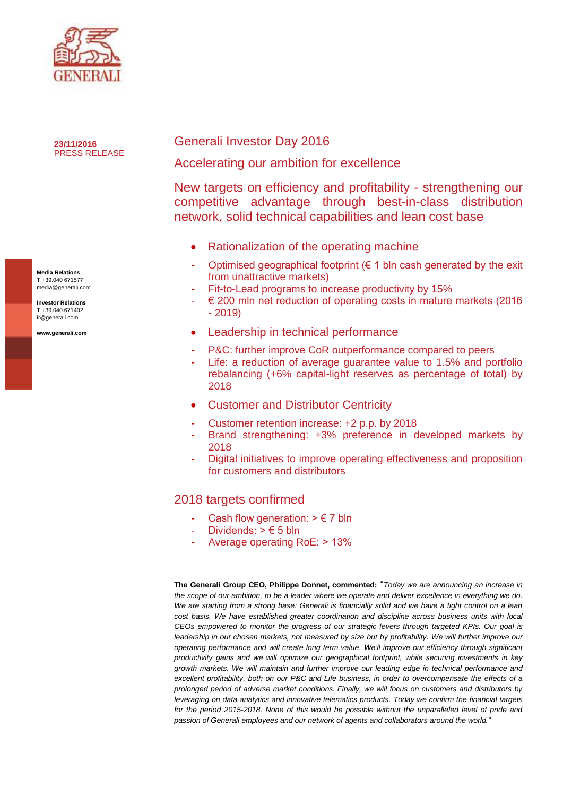

**23/11/2016** PRESS RELEASE

**Media Relations** T +39.040 671577 media@generali.com

**Investor Relations** T +39.040.671402 ir@generali.com

**www.generali.com**

# Generali Investor Day 2016

Accelerating our ambition for excellence

New targets on efficiency and profitability - strengthening our competitive advantage through best-in-class distribution network, solid technical capabilities and lean cost base

- Rationalization of the operating machine
- Optimised geographical footprint ( $\epsilon$  1 bln cash generated by the exit from unattractive markets)
- Fit-to-Lead programs to increase productivity by 15%
- $\epsilon$  200 mln net reduction of operating costs in mature markets (2016 - 2019)
- Leadership in technical performance
- P&C: further improve CoR outperformance compared to peers
- Life: a reduction of average guarantee value to 1.5% and portfolio rebalancing (+6% capital-light reserves as percentage of total) by 2018
- Customer and Distributor Centricity
- Customer retention increase: +2 p.p. by 2018
- Brand strengthening: +3% preference in developed markets by 2018
- Digital initiatives to improve operating effectiveness and proposition for customers and distributors

## 2018 targets confirmed

- Cash flow generation:  $> \epsilon$  7 bln
- Dividends:  $> \epsilon$  5 bln
- Average operating RoE: > 13%

**The Generali Group CEO, Philippe Donnet, commented:** "*Today we are announcing an increase in the scope of our ambition, to be a leader where we operate and deliver excellence in everything we do. We are starting from a strong base: Generali is financially solid and we have a tight control on a lean cost basis. We have established greater coordination and discipline across business units with local CEOs empowered to monitor the progress of our strategic levers through targeted KPIs. Our goal is*  leadership in our chosen markets, not measured by size but by profitability. We will further improve our *operating performance and will create long term value. We'll improve our efficiency through significant productivity gains and we will optimize our geographical footprint, while securing investments in key growth markets. We will maintain and further improve our leading edge in technical performance and excellent profitability, both on our P&C and Life business, in order to overcompensate the effects of a prolonged period of adverse market conditions. Finally, we will focus on customers and distributors by leveraging on data analytics and innovative telematics products. Today we confirm the financial targets for the period 2015-2018. None of this would be possible without the unparalleled level of pride and passion of Generali employees and our network of agents and collaborators around the world.*"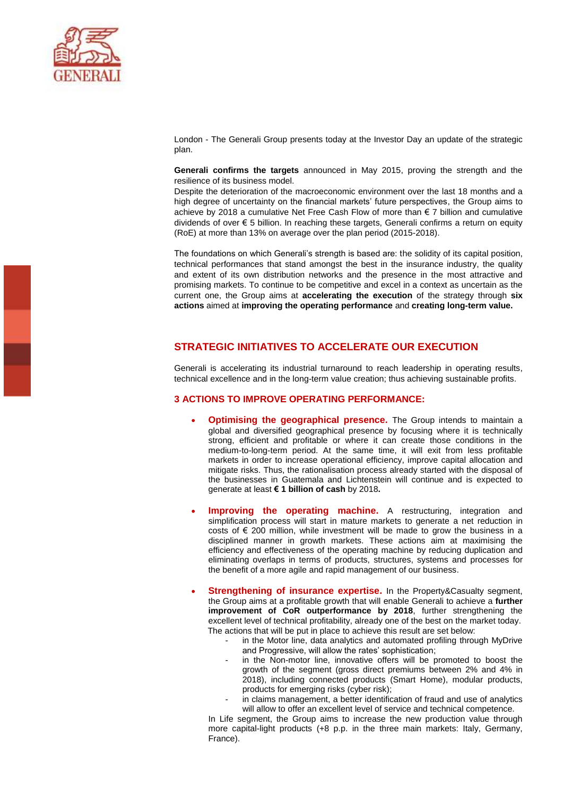

London - The Generali Group presents today at the Investor Day an update of the strategic plan.

**Generali confirms the targets** announced in May 2015, proving the strength and the resilience of its business model.

Despite the deterioration of the macroeconomic environment over the last 18 months and a high degree of uncertainty on the financial markets' future perspectives, the Group aims to achieve by 2018 a cumulative Net Free Cash Flow of more than € 7 billion and cumulative dividends of over € 5 billion. In reaching these targets, Generali confirms a return on equity (RoE) at more than 13% on average over the plan period (2015-2018).

The foundations on which Generali's strength is based are: the solidity of its capital position, technical performances that stand amongst the best in the insurance industry, the quality and extent of its own distribution networks and the presence in the most attractive and promising markets. To continue to be competitive and excel in a context as uncertain as the current one, the Group aims at **accelerating the execution** of the strategy through **six actions** aimed at **improving the operating performance** and **creating long-term value.**

### **STRATEGIC INITIATIVES TO ACCELERATE OUR EXECUTION**

Generali is accelerating its industrial turnaround to reach leadership in operating results, technical excellence and in the long-term value creation; thus achieving sustainable profits.

#### **3 ACTIONS TO IMPROVE OPERATING PERFORMANCE:**

- **Optimising the geographical presence.** The Group intends to maintain a global and diversified geographical presence by focusing where it is technically strong, efficient and profitable or where it can create those conditions in the medium-to-long-term period. At the same time, it will exit from less profitable markets in order to increase operational efficiency, improve capital allocation and mitigate risks. Thus, the rationalisation process already started with the disposal of the businesses in Guatemala and Lichtenstein will continue and is expected to generate at least **€ 1 billion of cash** by 2018**.**
- **Improving the operating machine.** A restructuring, integration and simplification process will start in mature markets to generate a net reduction in costs of  $\epsilon$  200 million, while investment will be made to grow the business in a disciplined manner in growth markets. These actions aim at maximising the efficiency and effectiveness of the operating machine by reducing duplication and eliminating overlaps in terms of products, structures, systems and processes for the benefit of a more agile and rapid management of our business.
- **Strengthening of insurance expertise.** In the Property&Casualty segment, the Group aims at a profitable growth that will enable Generali to achieve a **further improvement of CoR outperformance by 2018**, further strengthening the excellent level of technical profitability, already one of the best on the market today. The actions that will be put in place to achieve this result are set below:
	- in the Motor line, data analytics and automated profiling through MyDrive and Progressive, will allow the rates' sophistication;
	- in the Non-motor line, innovative offers will be promoted to boost the growth of the segment (gross direct premiums between 2% and 4% in 2018), including connected products (Smart Home), modular products, products for emerging risks (cyber risk);
	- in claims management, a better identification of fraud and use of analytics will allow to offer an excellent level of service and technical competence.

In Life segment, the Group aims to increase the new production value through more capital-light products (+8 p.p. in the three main markets: Italy, Germany, France).